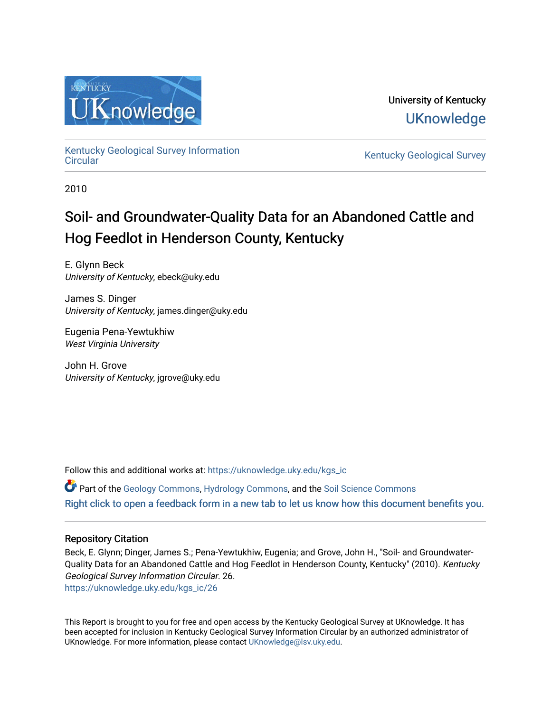

University of Kentucky **UKnowledge** 

[Kentucky Geological Survey Information](https://uknowledge.uky.edu/kgs_ic) 

Kentucky Geological Survey

2010

# Soil- and Groundwater-Quality Data for an Abandoned Cattle and Hog Feedlot in Henderson County, Kentucky

E. Glynn Beck University of Kentucky, ebeck@uky.edu

James S. Dinger University of Kentucky, james.dinger@uky.edu

Eugenia Pena-Yewtukhiw West Virginia University

John H. Grove University of Kentucky, jgrove@uky.edu

Follow this and additional works at: [https://uknowledge.uky.edu/kgs\\_ic](https://uknowledge.uky.edu/kgs_ic?utm_source=uknowledge.uky.edu%2Fkgs_ic%2F26&utm_medium=PDF&utm_campaign=PDFCoverPages)

Part of the [Geology Commons](http://network.bepress.com/hgg/discipline/156?utm_source=uknowledge.uky.edu%2Fkgs_ic%2F26&utm_medium=PDF&utm_campaign=PDFCoverPages), [Hydrology Commons](http://network.bepress.com/hgg/discipline/1054?utm_source=uknowledge.uky.edu%2Fkgs_ic%2F26&utm_medium=PDF&utm_campaign=PDFCoverPages), and the [Soil Science Commons](http://network.bepress.com/hgg/discipline/163?utm_source=uknowledge.uky.edu%2Fkgs_ic%2F26&utm_medium=PDF&utm_campaign=PDFCoverPages)  [Right click to open a feedback form in a new tab to let us know how this document benefits you.](https://uky.az1.qualtrics.com/jfe/form/SV_9mq8fx2GnONRfz7)

#### Repository Citation

Beck, E. Glynn; Dinger, James S.; Pena-Yewtukhiw, Eugenia; and Grove, John H., "Soil- and Groundwater-Quality Data for an Abandoned Cattle and Hog Feedlot in Henderson County, Kentucky" (2010). Kentucky Geological Survey Information Circular. 26. [https://uknowledge.uky.edu/kgs\\_ic/26](https://uknowledge.uky.edu/kgs_ic/26?utm_source=uknowledge.uky.edu%2Fkgs_ic%2F26&utm_medium=PDF&utm_campaign=PDFCoverPages) 

This Report is brought to you for free and open access by the Kentucky Geological Survey at UKnowledge. It has been accepted for inclusion in Kentucky Geological Survey Information Circular by an authorized administrator of UKnowledge. For more information, please contact [UKnowledge@lsv.uky.edu](mailto:UKnowledge@lsv.uky.edu).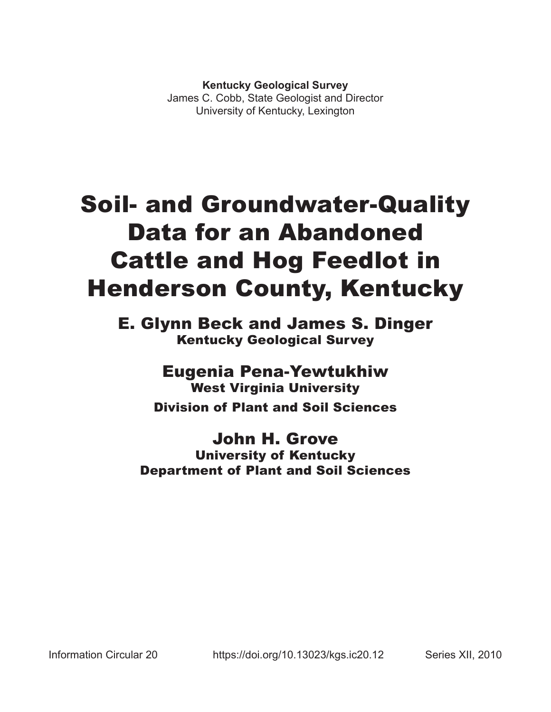**Kentucky Geological Survey**

James C. Cobb, State Geologist and Director University of Kentucky, Lexington

# Soil- and Groundwater-Quality Data for an Abandoned Cattle and Hog Feedlot in Henderson County, Kentucky

E. Glynn Beck and James S. Dinger Kentucky Geological Survey

> Eugenia Pena-Yewtukhiw West Virginia University Division of Plant and Soil Sciences

## John H. Grove University of Kentucky Department of Plant and Soil Sciences

Information Circular 20 https://doi.org/10.13023/kgs.ic20.12 Series XII, 2010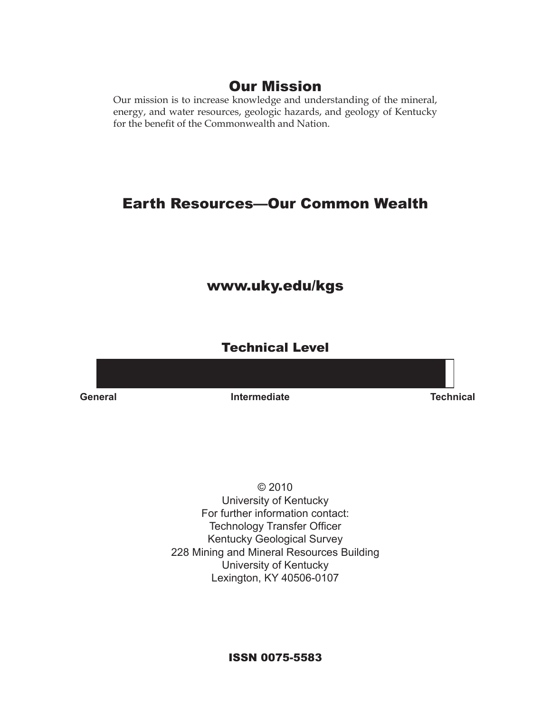## Our Mission

Our mission is to increase knowledge and understanding of the mineral, energy, and water resources, geologic hazards, and geology of Kentucky for the benefit of the Commonwealth and Nation.

## Earth Resources—Our Common Wealth

## www.uky.edu/kgs

### Technical Level

**General Intermediate Technical**

© 2010 University of Kentucky For further information contact: Technology Transfer Officer Kentucky Geological Survey 228 Mining and Mineral Resources Building University of Kentucky Lexington, KY 40506-0107

ISSN 0075-5583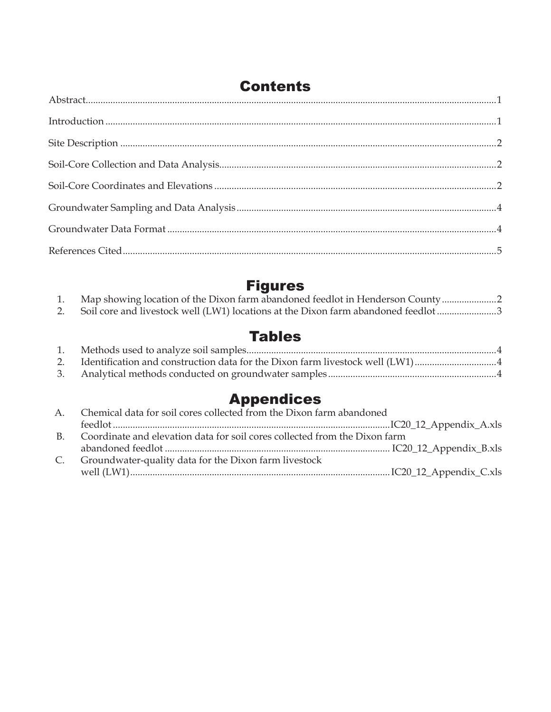| <b>Contents</b> |  |  |  |  |
|-----------------|--|--|--|--|
|                 |  |  |  |  |
|                 |  |  |  |  |
|                 |  |  |  |  |
|                 |  |  |  |  |
|                 |  |  |  |  |
|                 |  |  |  |  |
|                 |  |  |  |  |
|                 |  |  |  |  |
|                 |  |  |  |  |

## Figures

| Map showing location of the Dixon farm abandoned feedlot in Henderson County     |  |
|----------------------------------------------------------------------------------|--|
| Soil core and livestock well (LW1) locations at the Dixon farm abandoned feedlot |  |
|                                                                                  |  |

## Tables

| 2. Identification and construction data for the Dixon farm livestock well (LW1)4 |  |
|----------------------------------------------------------------------------------|--|
|                                                                                  |  |
|                                                                                  |  |

# Appendices

| Chemical data for soil cores collected from the Dixon farm abandoned<br>$A_{\cdot}$ |                                                                            |  |  |  |
|-------------------------------------------------------------------------------------|----------------------------------------------------------------------------|--|--|--|
|                                                                                     |                                                                            |  |  |  |
| $B_{\cdot}$                                                                         | Coordinate and elevation data for soil cores collected from the Dixon farm |  |  |  |
|                                                                                     |                                                                            |  |  |  |
| $C_{\cdot}$                                                                         | Groundwater-quality data for the Dixon farm livestock                      |  |  |  |
|                                                                                     |                                                                            |  |  |  |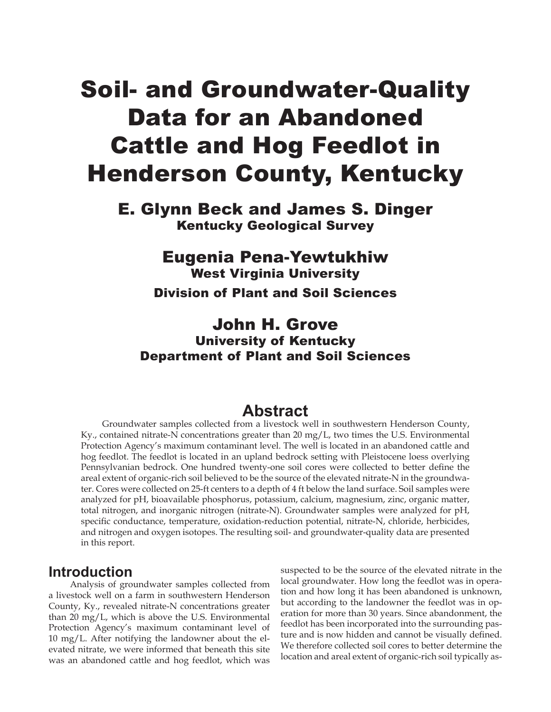# Soil- and Groundwater-Quality Data for an Abandoned Cattle and Hog Feedlot in Henderson County, Kentucky

E. Glynn Beck and James S. Dinger Kentucky Geological Survey

## Eugenia Pena-Yewtukhiw

West Virginia University

Division of Plant and Soil Sciences

## John H. Grove University of Kentucky Department of Plant and Soil Sciences

## **Abstract**

Groundwater samples collected from a livestock well in southwestern Henderson County, Ky., contained nitrate-N concentrations greater than 20 mg/L, two times the U.S. Environmental Protection Agency's maximum contaminant level. The well is located in an abandoned cattle and hog feedlot. The feedlot is located in an upland bedrock setting with Pleistocene loess overlying Pennsylvanian bedrock. One hundred twenty-one soil cores were collected to better define the areal extent of organic-rich soil believed to be the source of the elevated nitrate-N in the groundwater. Cores were collected on 25-ft centers to a depth of 4 ft below the land surface. Soil samples were analyzed for pH, bioavailable phosphorus, potassium, calcium, magnesium, zinc, organic matter, total nitrogen, and inorganic nitrogen (nitrate-N). Groundwater samples were analyzed for pH, specific conductance, temperature, oxidation-reduction potential, nitrate-N, chloride, herbicides, and nitrogen and oxygen isotopes. The resulting soil- and groundwater-quality data are presented in this report.

#### **Introduction**

Analysis of groundwater samples collected from a livestock well on a farm in southwestern Henderson County, Ky., revealed nitrate-N concentrations greater than 20 mg/L, which is above the U.S. Environmental Protection Agency's maximum contaminant level of 10 mg/L. After notifying the landowner about the elevated nitrate, we were informed that beneath this site was an abandoned cattle and hog feedlot, which was

suspected to be the source of the elevated nitrate in the local groundwater. How long the feedlot was in operation and how long it has been abandoned is unknown, but according to the landowner the feedlot was in operation for more than 30 years. Since abandonment, the feedlot has been incorporated into the surrounding pasture and is now hidden and cannot be visually defined. We therefore collected soil cores to better determine the location and areal extent of organic-rich soil typically as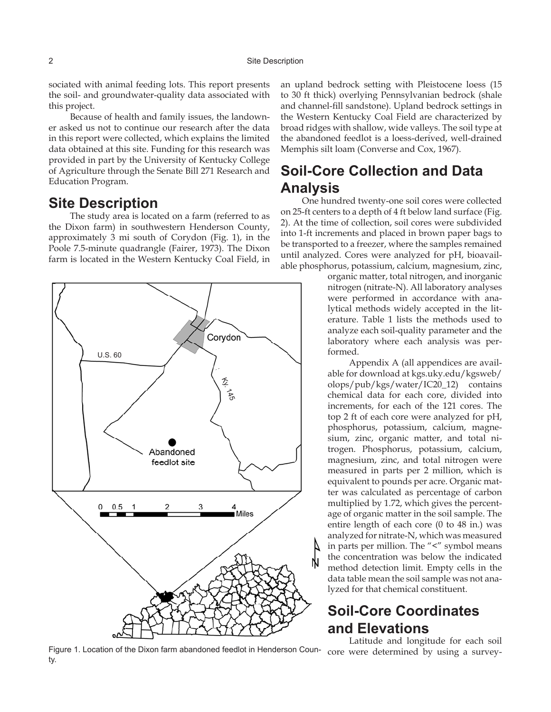sociated with animal feeding lots. This report presents the soil- and groundwater-quality data associated with this project.

Because of health and family issues, the landowner asked us not to continue our research after the data in this report were collected, which explains the limited data obtained at this site. Funding for this research was provided in part by the University of Kentucky College of Agriculture through the Senate Bill 271 Research and Education Program.

#### **Site Description**

The study area is located on a farm (referred to as the Dixon farm) in southwestern Henderson County, approximately 3 mi south of Corydon (Fig. 1), in the Poole 7.5-minute quadrangle (Fairer, 1973). The Dixon farm is located in the Western Kentucky Coal Field, in



Figure 1. Location of the Dixon farm abandoned feedlot in Henderson Coun-core were determined by using a surveyty.

an upland bedrock setting with Pleistocene loess (15 to 30 ft thick) overlying Pennsylvanian bedrock (shale and channel-fill sandstone). Upland bedrock settings in the Western Kentucky Coal Field are characterized by broad ridges with shallow, wide valleys. The soil type at the abandoned feedlot is a loess-derived, well-drained Memphis silt loam (Converse and Cox, 1967).

## **Soil-Core Collection and Data Analysis**

One hundred twenty-one soil cores were collected on 25-ft centers to a depth of 4 ft below land surface (Fig. 2). At the time of collection, soil cores were subdivided into 1-ft increments and placed in brown paper bags to be transported to a freezer, where the samples remained until analyzed. Cores were analyzed for pH, bioavailable phosphorus, potassium, calcium, magnesium, zinc,

> organic matter, total nitrogen, and inorganic nitrogen (nitrate-N). All laboratory analyses were performed in accordance with analytical methods widely accepted in the literature. Table 1 lists the methods used to analyze each soil-quality parameter and the laboratory where each analysis was performed.

> Appendix A (all appendices are available for download at kgs.uky.edu/kgsweb/ olops/pub/kgs/water/IC20\_12) contains chemical data for each core, divided into increments, for each of the 121 cores. The top 2 ft of each core were analyzed for pH, phosphorus, potassium, calcium, magnesium, zinc, organic matter, and total nitrogen. Phosphorus, potassium, calcium, magnesium, zinc, and total nitrogen were measured in parts per 2 million, which is equivalent to pounds per acre. Organic matter was calculated as percentage of carbon multiplied by 1.72, which gives the percentage of organic matter in the soil sample. The entire length of each core (0 to 48 in.) was analyzed for nitrate-N, which was measured in parts per million. The "<" symbol means the concentration was below the indicated method detection limit. Empty cells in the data table mean the soil sample was not analyzed for that chemical constituent.

## **Soil-Core Coordinates and Elevations**

Latitude and longitude for each soil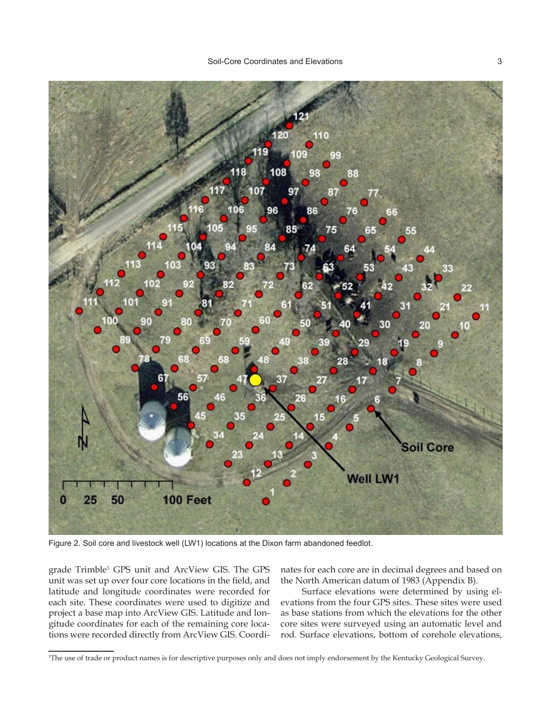

Figure 2. Soil core and livestock well (LW1) locations at the Dixon farm abandoned feedlot.

grade Trimble1 GPS unit and ArcView GIS. The GPS unit was set up over four core locations in the field, and latitude and longitude coordinates were recorded for each site. These coordinates were used to digitize and project a base map into ArcView GIS. Latitude and longitude coordinates for each of the remaining core locations were recorded directly from ArcView GIS. Coordinates for each core are in decimal degrees and based on the North American datum of 1983 (Appendix B).

Surface elevations were determined by using elevations from the four GPS sites. These sites were used as base stations from which the elevations for the other core sites were surveyed using an automatic level and rod. Surface elevations, bottom of corehole elevations,

<sup>1</sup> The use of trade or product names is for descriptive purposes only and does not imply endorsement by the Kentucky Geological Survey.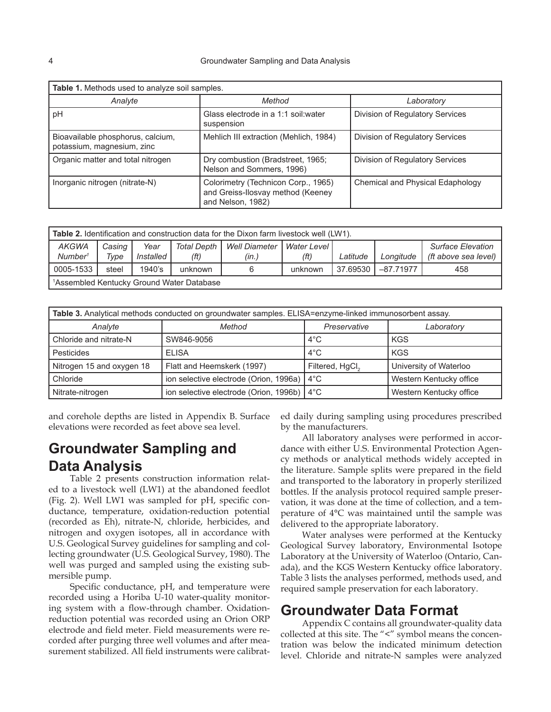| Table 1. Methods used to analyze soil samples.                  |                                                                                               |                                  |  |  |  |
|-----------------------------------------------------------------|-----------------------------------------------------------------------------------------------|----------------------------------|--|--|--|
| Analyte                                                         | Method                                                                                        | Laboratory                       |  |  |  |
| pH                                                              | Glass electrode in a 1:1 soil: water<br>suspension                                            | Division of Regulatory Services  |  |  |  |
| Bioavailable phosphorus, calcium,<br>potassium, magnesium, zinc | Mehlich III extraction (Mehlich, 1984)                                                        | Division of Regulatory Services  |  |  |  |
| Organic matter and total nitrogen                               | Dry combustion (Bradstreet, 1965;<br>Nelson and Sommers, 1996)                                | Division of Regulatory Services  |  |  |  |
| Inorganic nitrogen (nitrate-N)                                  | Colorimetry (Technicon Corp., 1965)<br>and Greiss-Ilosvay method (Keeney<br>and Nelson, 1982) | Chemical and Physical Edaphology |  |  |  |

| <b>Table 2.</b> Identification and construction data for the Dixon farm livestock well (LW1). |                |                   |                             |                               |                       |          |                |                                                  |
|-----------------------------------------------------------------------------------------------|----------------|-------------------|-----------------------------|-------------------------------|-----------------------|----------|----------------|--------------------------------------------------|
| <b>AKGWA</b><br>Number <sup>1</sup>                                                           | Casing<br>Type | Year<br>Installed | <b>Total Depth</b><br>(f t) | <b>Well Diameter</b><br>(in.) | Water Level I<br>(ft) | Latitude | Longitude      | <b>Surface Elevation</b><br>(ft above sea level) |
| 0005-1533                                                                                     | steel          | 1940's            | unknown                     | 6                             | unknown               | 37.69530 | $1 - 87.71977$ | 458                                              |
| <sup>1</sup> Assembled Kentucky Ground Water Database                                         |                |                   |                             |                               |                       |          |                |                                                  |

| Table 3. Analytical methods conducted on groundwater samples. ELISA=enzyme-linked immunosorbent assay. |                                              |                             |                         |  |  |
|--------------------------------------------------------------------------------------------------------|----------------------------------------------|-----------------------------|-------------------------|--|--|
| Analyte                                                                                                | Method                                       | Preservative                | Laboratory              |  |  |
| Chloride and nitrate-N                                                                                 | SW846-9056                                   | $4^{\circ}$ C               | KGS                     |  |  |
| Pesticides                                                                                             | <b>ELISA</b>                                 | $4^{\circ}$ C               | KGS                     |  |  |
| Nitrogen 15 and oxygen 18                                                                              | Flatt and Heemskerk (1997)                   | Filtered, HgCl <sub>2</sub> | University of Waterloo  |  |  |
| l Chloride                                                                                             | ion selective electrode (Orion, 1996a)       | $4^{\circ}$ C               | Western Kentucky office |  |  |
| Nitrate-nitrogen                                                                                       | ion selective electrode (Orion, 1996b)   4°C |                             | Western Kentucky office |  |  |

and corehole depths are listed in Appendix B. Surface elevations were recorded as feet above sea level.

## **Groundwater Sampling and Data Analysis**

Table 2 presents construction information related to a livestock well (LW1) at the abandoned feedlot (Fig. 2). Well LW1 was sampled for pH, specific conductance, temperature, oxidation-reduction potential (recorded as Eh), nitrate-N, chloride, herbicides, and nitrogen and oxygen isotopes, all in accordance with U.S. Geological Survey guidelines for sampling and collecting groundwater (U.S. Geological Survey, 1980). The well was purged and sampled using the existing submersible pump.

Specific conductance, pH, and temperature were recorded using a Horiba U-10 water-quality monitoring system with a flow-through chamber. Oxidationreduction potential was recorded using an Orion ORP electrode and field meter. Field measurements were recorded after purging three well volumes and after measurement stabilized. All field instruments were calibrated daily during sampling using procedures prescribed by the manufacturers.

All laboratory analyses were performed in accordance with either U.S. Environmental Protection Agency methods or analytical methods widely accepted in the literature. Sample splits were prepared in the field and transported to the laboratory in properly sterilized bottles. If the analysis protocol required sample preservation, it was done at the time of collection, and a temperature of 4°C was maintained until the sample was delivered to the appropriate laboratory.

Water analyses were performed at the Kentucky Geological Survey laboratory, Environmental Isotope Laboratory at the University of Waterloo (Ontario, Canada), and the KGS Western Kentucky office laboratory. Table 3 lists the analyses performed, methods used, and required sample preservation for each laboratory.

#### **Groundwater Data Format**

Appendix C contains all groundwater-quality data collected at this site. The "<" symbol means the concentration was below the indicated minimum detection level. Chloride and nitrate-N samples were analyzed